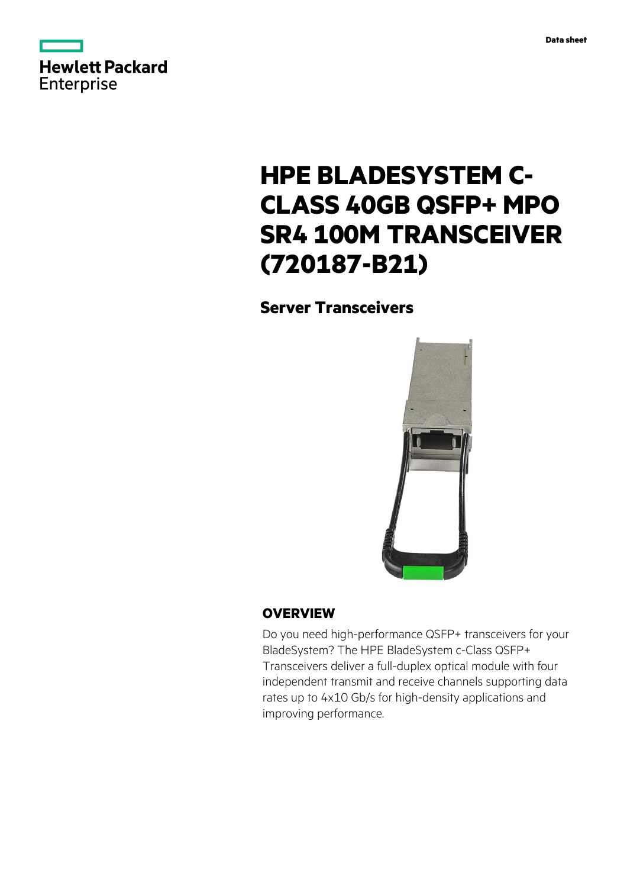



# **HPE BLADESYSTEM C-CLASS 40GB QSFP+ MPO SR4 100M TRANSCEIVER (720187-B21)**

# **Server Transceivers**



## **OVERVIEW**

Do you need high-performance QSFP+ transceivers for your BladeSystem? The HPE BladeSystem c-Class QSFP+ Transceivers deliver a full-duplex optical module with four independent transmit and receive channels supporting data rates up to 4x10 Gb/s for high-density applications and improving performance.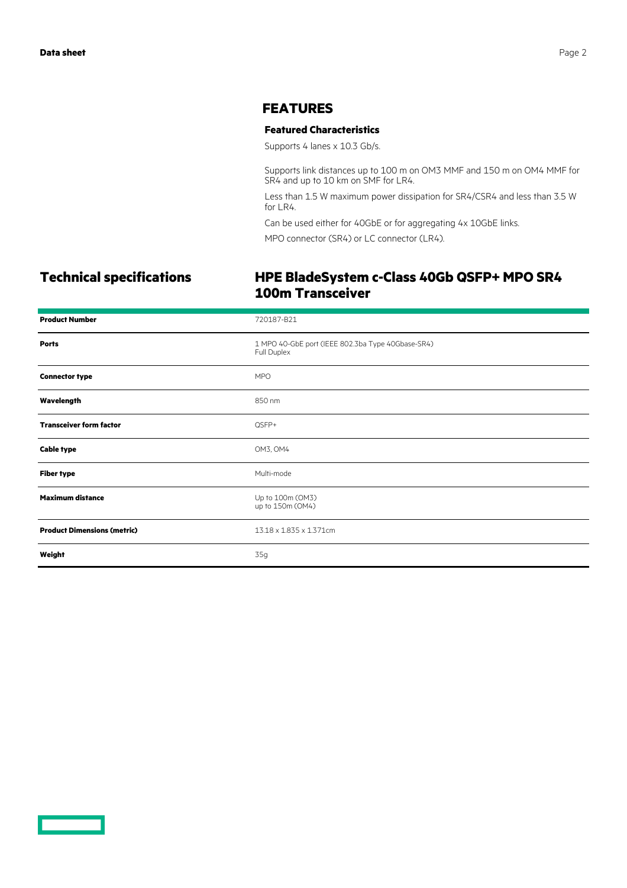#### **FEATURES**

#### **Featured Characteristics**

Supports 4 lanes x 10.3 Gb/s.

Supports link distances up to 100 m on OM3 MMF and 150 m on OM4 MMF for SR4 and up to 10 km on SMF for LR4.

Less than 1.5 W maximum power dissipation for SR4/CSR4 and less than 3.5 W for LR4.

Can be used either for 40GbE or for aggregating 4x 10GbE links.

MPO connector (SR4) or LC connector (LR4).

## **Technical specifications HPE BladeSystem c-Class 40Gb QSFP+ MPO SR4 100m Transceiver**

| <b>Product Number</b>              | 720187-B21                                                       |
|------------------------------------|------------------------------------------------------------------|
| <b>Ports</b>                       | 1 MPO 40-GbE port (IEEE 802.3ba Type 40Gbase-SR4)<br>Full Duplex |
| <b>Connector type</b>              | <b>MPO</b>                                                       |
| Wavelength                         | 850 nm                                                           |
| <b>Transceiver form factor</b>     | QSFP+                                                            |
| <b>Cable type</b>                  | OM3, OM4                                                         |
| <b>Fiber type</b>                  | Multi-mode                                                       |
| <b>Maximum distance</b>            | Up to 100m (OM3)<br>up to 150m (OM4)                             |
| <b>Product Dimensions (metric)</b> | 13.18 x 1.835 x 1.371cm                                          |
| Weight                             | 35g                                                              |